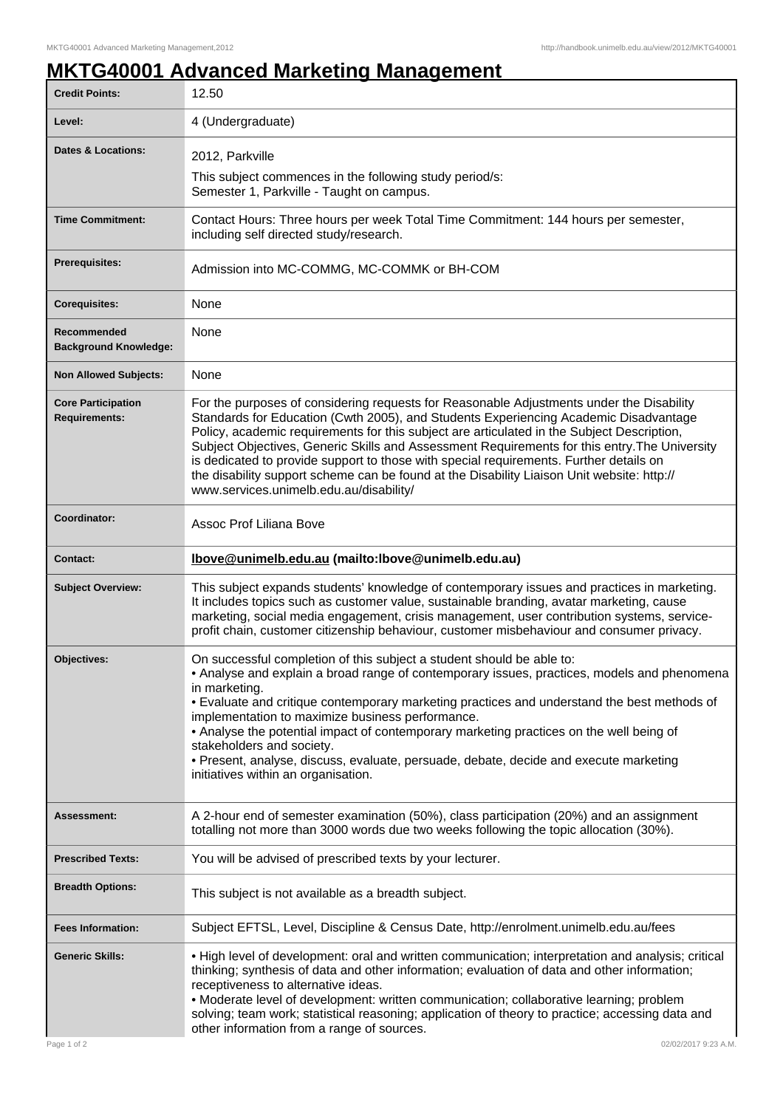## **MKTG40001 Advanced Marketing Management**

| <b>Credit Points:</b>                             | 12.50                                                                                                                                                                                                                                                                                                                                                                                                                                                                                                                                                                                                              |
|---------------------------------------------------|--------------------------------------------------------------------------------------------------------------------------------------------------------------------------------------------------------------------------------------------------------------------------------------------------------------------------------------------------------------------------------------------------------------------------------------------------------------------------------------------------------------------------------------------------------------------------------------------------------------------|
| Level:                                            | 4 (Undergraduate)                                                                                                                                                                                                                                                                                                                                                                                                                                                                                                                                                                                                  |
| <b>Dates &amp; Locations:</b>                     | 2012, Parkville                                                                                                                                                                                                                                                                                                                                                                                                                                                                                                                                                                                                    |
|                                                   | This subject commences in the following study period/s:<br>Semester 1, Parkville - Taught on campus.                                                                                                                                                                                                                                                                                                                                                                                                                                                                                                               |
| <b>Time Commitment:</b>                           | Contact Hours: Three hours per week Total Time Commitment: 144 hours per semester,<br>including self directed study/research.                                                                                                                                                                                                                                                                                                                                                                                                                                                                                      |
| Prerequisites:                                    | Admission into MC-COMMG, MC-COMMK or BH-COM                                                                                                                                                                                                                                                                                                                                                                                                                                                                                                                                                                        |
| <b>Corequisites:</b>                              | None                                                                                                                                                                                                                                                                                                                                                                                                                                                                                                                                                                                                               |
| Recommended<br><b>Background Knowledge:</b>       | None                                                                                                                                                                                                                                                                                                                                                                                                                                                                                                                                                                                                               |
| <b>Non Allowed Subjects:</b>                      | None                                                                                                                                                                                                                                                                                                                                                                                                                                                                                                                                                                                                               |
| <b>Core Participation</b><br><b>Requirements:</b> | For the purposes of considering requests for Reasonable Adjustments under the Disability<br>Standards for Education (Cwth 2005), and Students Experiencing Academic Disadvantage<br>Policy, academic requirements for this subject are articulated in the Subject Description,<br>Subject Objectives, Generic Skills and Assessment Requirements for this entry. The University<br>is dedicated to provide support to those with special requirements. Further details on<br>the disability support scheme can be found at the Disability Liaison Unit website: http://<br>www.services.unimelb.edu.au/disability/ |
| Coordinator:                                      | Assoc Prof Liliana Bove                                                                                                                                                                                                                                                                                                                                                                                                                                                                                                                                                                                            |
| Contact:                                          | lbove@unimelb.edu.au (mailto:lbove@unimelb.edu.au)                                                                                                                                                                                                                                                                                                                                                                                                                                                                                                                                                                 |
| <b>Subject Overview:</b>                          | This subject expands students' knowledge of contemporary issues and practices in marketing.<br>It includes topics such as customer value, sustainable branding, avatar marketing, cause<br>marketing, social media engagement, crisis management, user contribution systems, service-<br>profit chain, customer citizenship behaviour, customer misbehaviour and consumer privacy.                                                                                                                                                                                                                                 |
| <b>Objectives:</b>                                | On successful completion of this subject a student should be able to:<br>• Analyse and explain a broad range of contemporary issues, practices, models and phenomena<br>in marketing.<br>. Evaluate and critique contemporary marketing practices and understand the best methods of<br>implementation to maximize business performance.<br>• Analyse the potential impact of contemporary marketing practices on the well being of<br>stakeholders and society.<br>· Present, analyse, discuss, evaluate, persuade, debate, decide and execute marketing<br>initiatives within an organisation.                   |
| <b>Assessment:</b>                                | A 2-hour end of semester examination (50%), class participation (20%) and an assignment<br>totalling not more than 3000 words due two weeks following the topic allocation (30%).                                                                                                                                                                                                                                                                                                                                                                                                                                  |
| <b>Prescribed Texts:</b>                          | You will be advised of prescribed texts by your lecturer.                                                                                                                                                                                                                                                                                                                                                                                                                                                                                                                                                          |
| <b>Breadth Options:</b>                           | This subject is not available as a breadth subject.                                                                                                                                                                                                                                                                                                                                                                                                                                                                                                                                                                |
| <b>Fees Information:</b>                          | Subject EFTSL, Level, Discipline & Census Date, http://enrolment.unimelb.edu.au/fees                                                                                                                                                                                                                                                                                                                                                                                                                                                                                                                               |
| <b>Generic Skills:</b>                            | . High level of development: oral and written communication; interpretation and analysis; critical<br>thinking; synthesis of data and other information; evaluation of data and other information;<br>receptiveness to alternative ideas.<br>• Moderate level of development: written communication; collaborative learning; problem<br>solving; team work; statistical reasoning; application of theory to practice; accessing data and<br>other information from a range of sources.                                                                                                                             |